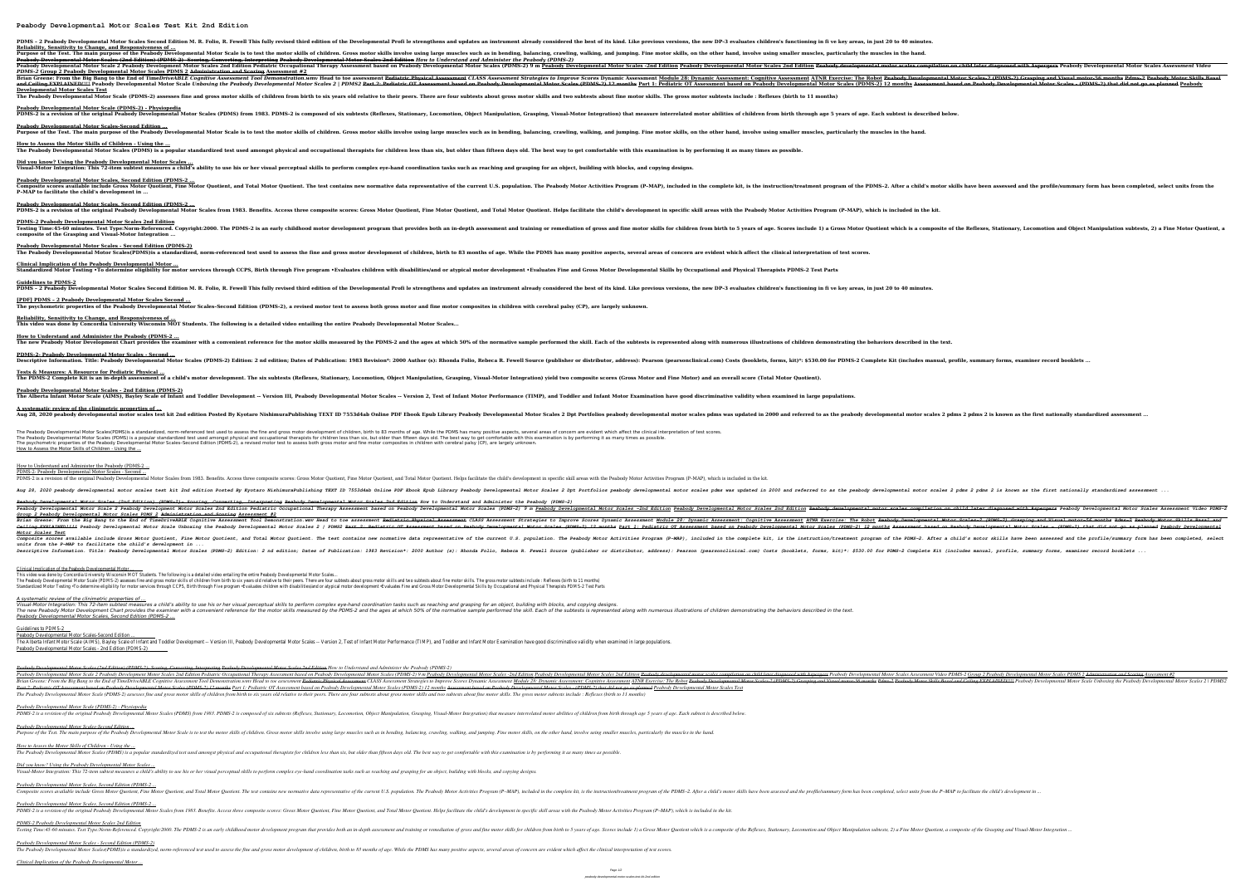**Peabody Developmental Motor Scales Test Kit 2nd Edition**

PDMS - 2 Peabody Developmental Motor Scales Second Edition M. R. Folio, R. Fewell This fully revised third edition of the best of its kind. Like previous versions, the new DP-3 evaluates children's functioning in fi ve key

**Reliability, Sensitivity to Change, and Responsiveness of ...** Purpose of the Test. The main purpose of the Peabody Developmental Motor Scale is to test the motor skills of children. Gross motor skills, on the other hand, involve using smaller muscles, particularly the muscles in the **Peabody Developmental Motor Scales (2nd Edition) (PDMS-2)- Scoring, Converting, Interpreting Peabody Developmental Motor Scales 2nd Edition** *How to Understand and Administer the Peabody (PDMS-2)* Peabody Developmental Motor Scale 2 Peabody Development Motor Scales 2nd Edition Pediatric Occupational Therapy Assessment based on Peabody Developmental Motor Scales 2nd Edition Peabody Developmental Motor Scales 2nd Edit *PDMS-2* **Group 2 Peabody Developmental Motor Scales PDMS 2 Administration and Scoring Assessment #2** Brian Greene: From the Big Bang to the End of TimeDriveABLE Cognitive Assessment Tool Demonstration.wmv Head to toe assessment Artyle Assessment Pediatric Physical Assessment Strategies to Improve Scores Dynamic Assessment

and Ceiling EXPLAINED!!!! Peabody Developmental Motor Scale Unboxing the Peabody Developmental Motor Scales (PDMS-2) 12 months Assessment based on Peabody Developmental Motor Scales (PDMS-2) 12 months Assessment based on P **Developmental Motor Scales Test** The Peabody Developmental Motor Scale (PDMS-2) assesses fine and gross motor skills of children from birth to six years old relative to their peers. There are four subtests about fine motor skills. The gross motor subtests **Peabody Developmental Motor Scale (PDMS-2) - Physiopedia** PDMS-2 is a revision of the original Peabody Developmental Motor Scales (PDMS) from 1983. PDMS-2 is composed of six subtests (Reflexes, Stationary, Locomotion, Object Manipulation, Grasping, Visual-Motor Integration) that

**How to Assess the Motor Skills of Children - Using the ...** The Peabody Developmental Motor Scales (PDMS) is a popular standardized test used amongst physical and occupational therapists for children less than six, but older than fifteen days old. The best way to get comfortable wi

**Did you know? Using the Peabody Developmental Motor Scales ...** Visual-Motor Integration: This 72-item subtest measures a child's ability to use his or her visual perceptual skills to perform complex eye-hand coordination tasks such as reaching and grasping for an object, building with

**Peabody Developmental Motor Scales, Second Edition (PDMS-2 ...** PDMS-2 is a revision of the original Peabody Developmental Motor Scales from 1983. Benefits. Access three composite scores: Gross Motor Ouotient, Helps facilitate the child's development in specific skill areas with the Pe

**Clinical Implication of the Peabody Developmental Motor ...** Standardized Motor Testing •To determine eligibility for motor services through CCPS, Birth through Five program •Evaluates children with disabilities/and or atypical motor development •Evaluates Fine and Gross Motor Devel

**Peabody Developmental Motor Scales-Second Edition ...**

**Guidelines to PDMS-2** PDMS - 2 Peabody Developmental Motor Scales Second Edition M. R. Folio, R. Fewell This fully revised third edition of the best of its kind. Like previous versions, the new DP-3 evaluates children's functioning in fi ve kev

**[PDF] PDMS – 2 Peabody Developmental Motor Scales Second ...** The psychometric properties of the Peabody Developmental Motor Scales-Second Edition (PDMS-2), a revised motor test to assess both gross motor and fine motor composites in children with cerebral palsy (CP), are largely unk

**Tests & Measures: A Resource for Pediatric Physical ...** The PDMS-2 Complete Kit is an in-depth assessment of a child's motor development. The six subtests (Reflexes, Stationary, Locomotion, Object Manipulation, Grasping, Visual-Motor Integration) vield two composite scores (Gro

**Peabody Developmental Motor Scales - 2nd Edition (PDMS-2)** The Alberta Infant Motor Scale (AIMS), Bayley Scale of Infant and Toddler Development -- Version III, Peabody Developmental Motor Scales -- Version 2, Test of Infant Motor Examination have good discriminative validity when

**A systematic review of the clinimetric properties of ...** Aug 28, 2020 peabody developmental motor scales test kit 2nd edition Posted By Kyotaro NishimuraPublishing TEXT ID 7553d4ab Online PDF Ebook Epub Library Peabody developmental motor scales 2 pdms 2 pdms 2 is known as the f

**Peabody Developmental Motor Scales, Second Edition (PDMS-2 ...** Composite scores available include Gross Motor Quotient, Fine Motor Quotient, and Total Motor Quotient, and Total Motor Quotient. The test contains new normative of the current U.S. population. The Peabody Motor Activities **P–MAP to facilitate the child's development in ...**

The Peabody Developmental Motor Scales(PDMS)is a standardized, norm-referenced test used to assess the fine and gross motor development of children, birth to 83 months of age. While the PDMS has many positive aspects, seve The Peabody Developmental Motor Scales (PDMS) is a popular standardized test used amongst physical and occupational therapists for children less than six, but older than fifteen days old. The best way to get comfortable wi The psychometric properties of the Peabody Developmental Motor Scales-Second Edition (PDMS-2), a revised motor test to assess both gross motor and fine motor composites in children with cerebral palsy (CP), are largely unk How to Assess the Motor Skills of Children - Using the ...

**PDMS-2 Peabody Developmental Motor Scales 2nd Edition** Testing Time:45-60 minutes. Test Type:Norm-Referenced. Copyright:2000. The PDMS-2 is an early childhood motor development prom birth to 5 years of age. Scores include 1) a Gross Motor Ouotient which is a composite of the R **composite of the Grasping and Visual-Motor Integration ...**

**Peabody Developmental Motor Scales - Second Edition (PDMS-2)**

The Peabody Developmental Motor Scales(PDMS)is a standardized, norm-referenced test used to assess the fine and gross motor development of children, birth to 83 months of age. While the PDMS has many positive aspects, seve

This video was done by Concordia University Wisconsin MOT Students. The following is a detailed video entailing the entire Peabody Developmental Motor Scales... The Peabody Developmental Motor Scale (PDMS-2) assesses fine and gross motor skills of children from birth to six years old relative to their peers. There are four subtests about gross motor skills and two subtests about f Standardized Motor Testing .To determine eligibility for motor services through CCPS, Birth through Five program .Evaluates children with disabilities/and or atypical motor development .Evaluates Fine and Gross Motor Devel

**Reliability, Sensitivity to Change, and Responsiveness of ... This video was done by Concordia University Wisconsin MOT Students. The following is a detailed video entailing the entire Peabody Developmental Motor Scales...**

**How to Understand and Administer the Peabody (PDMS-2 ...** The new Peabody Motor Development Chart provides the examiner with a convenient reference for the motor skills measured by the PDMS-2 and the ages at which 50% of the normative sample performed the skill. Each of the norma **PDMS-2- Peabody Developmental Motor Scales - Second ...**

*Peabody Developmental Motor Scales (2nd Edition) (PDMS-2)- Scoring, Converting, Interpreting Peabody Developmental Motor Scales 2nd Edition How to Understand and Administer the Peabody (PDMS-2)* Developmental Motor Scale 2 Peabody Development Motor Scales 2nd Edition Pediatric Occupational Therapy Assessment Video PDMS-2 <u>Group 2 Peabody Developmental Motor Scales Assessment Water diagnosed with Aspergers Peabody </u> E, Enton, and the Br<sub>1</sub> and the Br<sub>2</sub> and the Br<sub>3</sub> and the Br<sub>4</sub> and Tr<sub>1</sub> and Tr<sub>1</sub> and Dr<sub>2</sub> and Dr<sub>3</sub> and Dr<sub>4</sub> and Dr<sub>4</sub> and Dr<sub>5</sub> and Tr<sub>1</sub> and Tr<sub>2</sub> and Tr<sub>3</sub> and Tr<sub>4</sub> and Tr<sub>4</sub> and Tr<sub>5</sub> and Tr<sub>1</sub> and Tr<sub>2</sub> and Tr<sub>3</sub> and Tr<sub>4</sub> and Tr<sub>5</sub> and Tr<sub>4</sub> and Tr<sub>5 Part 2: Pediatric OT Assessment based on Peabody Developmental Motor Scales (PDMS-2) 12 months Part 1: Pediatric OT Assessment based on Peabody Developmental Motor Scales (PDMS-2) 12 months Assessment based on Peabody Deve The Peabody Developmental Motor Scale (PDMS-2) assesses fine and gross motor skills of children from birth to six years old relative to their peers. There are four subtests about gross motor skills and two subtests about f

*Peabody Developmental Motor Scales-Second Edition ...* Purpose of the Test. The main purpose of the Peabody Developmental Motor Scale is to test the motor skills of children. Gross motor skills involve using, and jumping. Fine motor skills, on the other hand, involve using sma

*How to Assess the Motor Skills of Children - Using the ...* The Peabody Developmental Motor Scales (PDMS) is a popular standardized test used amongst physical and occupational therapists for children less than six, but older than fifteen days old. The best way to get comfortable wi

*Did you know? Using the Peabody Developmental Motor Scales ...* Visual-Motor Integration: This 72-item subtest measures a child's ability to use his or her visual perceptual skills to perform complex eye-hand coordination tasks such as reaching and grasping for an object, building with

*Peabody Developmental Motor Scales, Second Edition (PDMS-2 ...* Composite scores available include Gross Motor Quotient, Fine Motor Quotient, and Total Motor Quotient, and Total Motor Quotient. The test contains new normative data representative of the current U.S. population. The Peab

*Peabody Developmental Motor Scales, Second Edition (PDMS-2 ...* PDMS-2 is a revision of the original Peabody Developmental Motor Scales from 1983. Benefits. Access three composite scores: Gross Motor Quotient, Fine Motor Quotient, and Total Motor Quotient. Helps facilitate the child's

*PDMS-2 Peabody Developmental Motor Scales 2nd Edition* Testing Time:45-60 minutes. Test Type:Norm-Referenced. Copyright:2000. The PDMS-2 is an early childhood motor development program that provides both an in-depth assessment and training or remediation of gross and fine moto

*Peabody Developmental Motor Scales - Second Edition (PDMS-2)* The Peabody Developmental Motor Scales(PDMS) is a standardized, norm-referenced test used to assess the fine and gross motor development of children, birth to 83 months of age. While the PDMS has many positive aspects, sev

How to Understand and Administer the Peabody (PDMS-2 ...

PDMS-2- Peabody Developmental Motor Scales - Second ... PDMS-2 is a revision of the original Peabody Developmental Motor Scales from 1983. Benefits. Access three composite scores: Gross Motor Quotient, Fine Motor Quotient, and Total Motor Quotient. Helps facilitate the child's Aug 28, 2020 peabody developmental motor scales test kit 2nd edition Posted By Kyotaro NishimuraPublishing TEXT ID 7553d4ab Online PDF Ebook Epub Library Peabody developmental motor scales 2 pdms 2 pdms 2 pdms 2 is known a *Peabody Developmental Motor Scales (2nd Edition) (PDMS-2)- Scoring, Converting, Interpreting Peabody Developmental Motor Scales 2nd Edition How to Understand and Administer the Peabody (PDMS-2)* Therapy Assessmental Motor Scale 2 Peabody Development Motor Scales 2nd Edition Pediatric Occupational Therapy Assessment based on Peabody Developmental Motor Scales (PDMS-2) 9 m <u>Peabody Developmental Motor Scales 2nd Edi</u> *Group 2 Peabody Developmental Motor Scales PDMS 2 Administration and Scoring Assessment #2* The Robot Peabody Development Crome: From the Big Bang to the End of TimeDriveABLE Cognitive Assessment Tool Demonstration.wm Head to toe assessment Pediatric Physical Assessment Strategies to Improve Scores Dynamic Assess Ceiling EXPLAINED!!!! Peabody Developmental Motor Scale Unboxing the Peabody Developmental Motor Scales (PDMS-2) 12 months Assessment based on Peabody Developmental Motor Scales (PDMS-2) 12 months Assessment based on Peabo *Motor Scales Test* The Reabody Motor Quotient, Fine Motor Quotient, Fine Motor Quotient, and Total Motor Quotient. The Lest contains new normative of the complete kit, is the instruction/treatment program of the Complete kit, is the instruct *units from the P–MAP to facilitate the child's development in ...*

Descriptive Information. Title: Peabody Developmental Motor Scales (PDMS-2) Edition: 2 nd edition; 2 nd edition; 2 nd edition; Dates of Publication: 1983 Revision\*: 2000 Author (s): Rhonda Folio, Rebeca R. Fewell Source (p

Clinical Implication of the Peabody Developmental Motor ...

*A systematic review of the clinimetric properties of ...* Visual-Motor Integration: This 72-item subtest measures a child's ability to use his or her visual perceptual skills to perform complex eye-hand coordination tasks such as reaching and grasping for an object, building with The new Peabody Motor Development Chart provides the examiner with a convenient reference for the motor skills measured by the PDMS-2 and the ages at which 50% of the normative sample performed the subtests is represented *Peabody Developmental Motor Scales, Second Edition (PDMS-2 ...*

Guidelines to PDMS-2

Peabody Developmental Motor Scales-Second Edition ... The Alberta Infant Motor Scale (AIMS), Bayley Scale of Infant and Toddler Development -- Version III, Peabody Developmental Motor Scales -- Version 2, Test of Infant Motor Examination have good discriminative validity when Peabody Developmental Motor Scales - 2nd Edition (PDMS-2)

*Peabody Developmental Motor Scale (PDMS-2) - Physiopedia*

PDMS-2 is a revision of the original Peabody Developmental Motor Scales (PDMS) from 1983. PDMS-2 is composed of six subtests (Reflexes, Stationary, Locomotion, Object Manipulation, Grasping, Visual-Motor Integration) that

Purpose of the Test. The main purpose of the Peabody Developmental Motor Scale is to test the motor skills of children. Gross motor skills, on the other hand, involve using smaller muscles, particularly the muscles in the

Descriptive Information. Title: Peabody Developmental Motor Scales (PDMS-2) Edition: 2 nd edition: 2 nd edition; Dates of Publication; Dates of Publication: 1983 Revision\*: 2000 Author (s): Rhonda Folio, Rebeca R. Fewell S